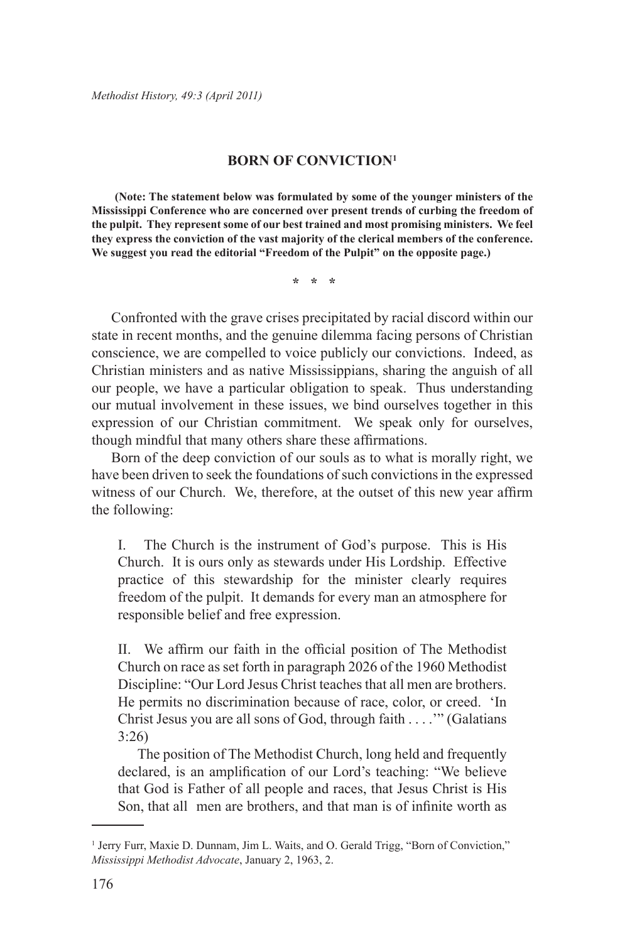*Methodist History, 49:3 (April 2011)*

## **BORN OF CONVICTION1**

 **(Note: The statement below was formulated by some of the younger ministers of the Mississippi Conference who are concerned over present trends of curbing the freedom of the pulpit. They represent some of our best trained and most promising ministers. We feel they express the conviction of the vast majority of the clerical members of the conference. We suggest you read the editorial "Freedom of the Pulpit" on the opposite page.)**

**\* \* \***

Confronted with the grave crises precipitated by racial discord within our state in recent months, and the genuine dilemma facing persons of Christian conscience, we are compelled to voice publicly our convictions. Indeed, as Christian ministers and as native Mississippians, sharing the anguish of all our people, we have a particular obligation to speak. Thus understanding our mutual involvement in these issues, we bind ourselves together in this expression of our Christian commitment. We speak only for ourselves, though mindful that many others share these affirmations.

Born of the deep conviction of our souls as to what is morally right, we have been driven to seek the foundations of such convictions in the expressed witness of our Church. We, therefore, at the outset of this new year affirm the following:

I. The Church is the instrument of God's purpose. This is His Church. It is ours only as stewards under His Lordship. Effective practice of this stewardship for the minister clearly requires freedom of the pulpit. It demands for every man an atmosphere for responsible belief and free expression.

II. We affirm our faith in the official position of The Methodist Church on race as set forth in paragraph 2026 of the 1960 Methodist Discipline: "Our Lord Jesus Christ teaches that all men are brothers. He permits no discrimination because of race, color, or creed. 'In Christ Jesus you are all sons of God, through faith . . . .'" (Galatians 3:26)

The position of The Methodist Church, long held and frequently declared, is an amplification of our Lord's teaching: "We believe that God is Father of all people and races, that Jesus Christ is His Son, that all men are brothers, and that man is of infinite worth as

<sup>&</sup>lt;sup>1</sup> Jerry Furr, Maxie D. Dunnam, Jim L. Waits, and O. Gerald Trigg, "Born of Conviction," *Mississippi Methodist Advocate*, January 2, 1963, 2.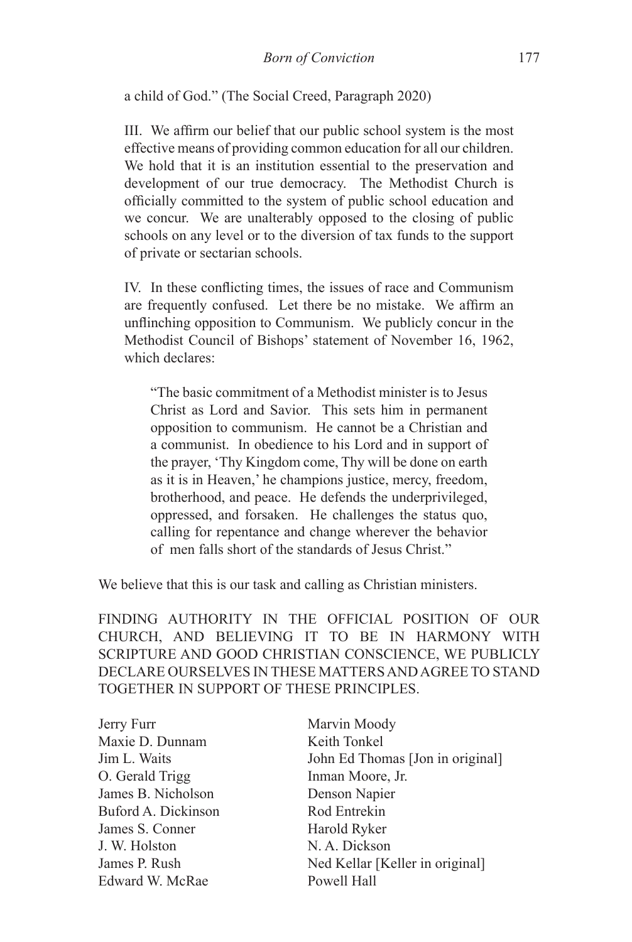a child of God." (The Social Creed, Paragraph 2020)

III. We affirm our belief that our public school system is the most effective means of providing common education for all our children. We hold that it is an institution essential to the preservation and development of our true democracy. The Methodist Church is officially committed to the system of public school education and we concur. We are unalterably opposed to the closing of public schools on any level or to the diversion of tax funds to the support of private or sectarian schools.

IV. In these conflicting times, the issues of race and Communism are frequently confused. Let there be no mistake. We affirm an unflinching opposition to Communism. We publicly concur in the Methodist Council of Bishops' statement of November 16, 1962, which declares:

"The basic commitment of a Methodist minister is to Jesus Christ as Lord and Savior. This sets him in permanent opposition to communism. He cannot be a Christian and a communist. In obedience to his Lord and in support of the prayer, 'Thy Kingdom come, Thy will be done on earth as it is in Heaven,' he champions justice, mercy, freedom, brotherhood, and peace. He defends the underprivileged, oppressed, and forsaken. He challenges the status quo, calling for repentance and change wherever the behavior of men falls short of the standards of Jesus Christ."

We believe that this is our task and calling as Christian ministers.

FINDING AUTHORITY IN THE OFFICIAL POSITION OF OUR CHURCH, AND BELIEVING IT TO BE IN HARMONY WITH SCRIPTURE AND GOOD CHRISTIAN CONSCIENCE, WE PUBLICLY DECLARE OURSELVES IN THESE MATTERS AND AGREE TO STAND TOGETHER IN SUPPORT OF THESE PRINCIPLES.

Jerry Furr Marvin Moody Maxie D. Dunnam Keith Tonkel O. Gerald Trigg Inman Moore, Jr. James B. Nicholson Denson Napier Buford A. Dickinson Rod Entrekin James S. Conner Harold Ryker J. W. Holston N. A. Dickson Edward W. McRae Powell Hall

Jim L. Waits John Ed Thomas [Jon in original] James P. Rush Ned Kellar [Keller in original]